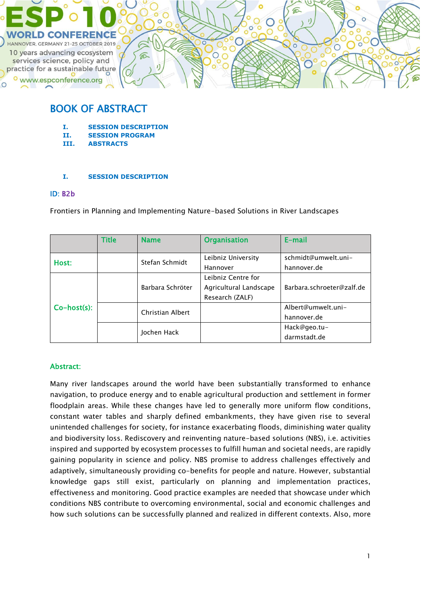

## BOOK OF ABSTRACT

- **I. SESSION DESCRIPTION**
- **II. SESSION PROGRAM**
- **III. ABSTRACTS**

### **I. SESSION DESCRIPTION**

### ID: B2b

Frontiers in Planning and Implementing Nature-based Solutions in River Landscapes

|                | Title | <b>Name</b>      | <b>Organisation</b>    | E-mail                    |
|----------------|-------|------------------|------------------------|---------------------------|
|                |       |                  |                        |                           |
| Host:          |       | Stefan Schmidt   | Leibniz University     | schmidt@umwelt.uni-       |
|                |       |                  | Hannover               | hannover.de               |
| $Co-host(s)$ : |       | Barbara Schröter | Leibniz Centre for     |                           |
|                |       |                  | Agricultural Landscape | Barbara.schroeter@zalf.de |
|                |       |                  | Research (ZALF)        |                           |
|                |       | Christian Albert |                        | Albert@umwelt.uni-        |
|                |       |                  |                        | hannover.de               |
|                |       |                  | Hack@geo.tu-           |                           |
|                |       | Jochen Hack      |                        | darmstadt.de              |

## Abstract:

Many river landscapes around the world have been substantially transformed to enhance navigation, to produce energy and to enable agricultural production and settlement in former floodplain areas. While these changes have led to generally more uniform flow conditions, constant water tables and sharply defined embankments, they have given rise to several unintended challenges for society, for instance exacerbating floods, diminishing water quality and biodiversity loss. Rediscovery and reinventing nature-based solutions (NBS), i.e. activities inspired and supported by ecosystem processes to fulfill human and societal needs, are rapidly gaining popularity in science and policy. NBS promise to address challenges effectively and adaptively, simultaneously providing co-benefits for people and nature. However, substantial knowledge gaps still exist, particularly on planning and implementation practices, effectiveness and monitoring. Good practice examples are needed that showcase under which conditions NBS contribute to overcoming environmental, social and economic challenges and how such solutions can be successfully planned and realized in different contexts. Also, more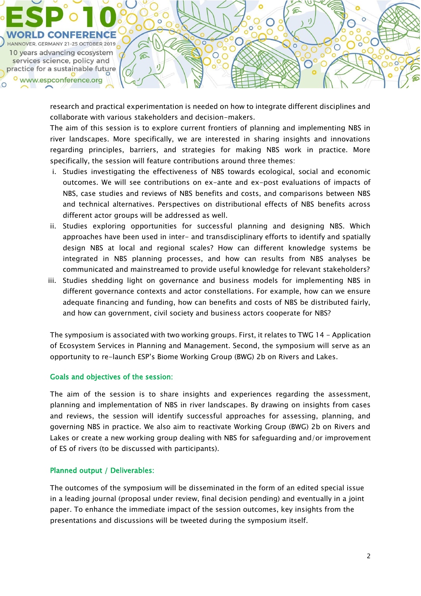

research and practical experimentation is needed on how to integrate different disciplines and collaborate with various stakeholders and decision-makers.

The aim of this session is to explore current frontiers of planning and implementing NBS in river landscapes. More specifically, we are interested in sharing insights and innovations regarding principles, barriers, and strategies for making NBS work in practice. More specifically, the session will feature contributions around three themes:

- i. Studies investigating the effectiveness of NBS towards ecological, social and economic outcomes. We will see contributions on ex-ante and ex-post evaluations of impacts of NBS, case studies and reviews of NBS benefits and costs, and comparisons between NBS and technical alternatives. Perspectives on distributional effects of NBS benefits across different actor groups will be addressed as well.
- ii. Studies exploring opportunities for successful planning and designing NBS. Which approaches have been used in inter- and transdisciplinary efforts to identify and spatially design NBS at local and regional scales? How can different knowledge systems be integrated in NBS planning processes, and how can results from NBS analyses be communicated and mainstreamed to provide useful knowledge for relevant stakeholders?
- iii. Studies shedding light on governance and business models for implementing NBS in different governance contexts and actor constellations. For example, how can we ensure adequate financing and funding, how can benefits and costs of NBS be distributed fairly, and how can government, civil society and business actors cooperate for NBS?

The symposium is associated with two working groups. First, it relates to TWG 14 - Application of Ecosystem Services in Planning and Management. Second, the symposium will serve as an opportunity to re-launch ESP's Biome Working Group (BWG) 2b on Rivers and Lakes.

## Goals and objectives of the session:

The aim of the session is to share insights and experiences regarding the assessment, planning and implementation of NBS in river landscapes. By drawing on insights from cases and reviews, the session will identify successful approaches for assessing, planning, and governing NBS in practice. We also aim to reactivate Working Group (BWG) 2b on Rivers and Lakes or create a new working group dealing with NBS for safeguarding and/or improvement of ES of rivers (to be discussed with participants).

## Planned output / Deliverables:

The outcomes of the symposium will be disseminated in the form of an edited special issue in a leading journal (proposal under review, final decision pending) and eventually in a joint paper. To enhance the immediate impact of the session outcomes, key insights from the presentations and discussions will be tweeted during the symposium itself.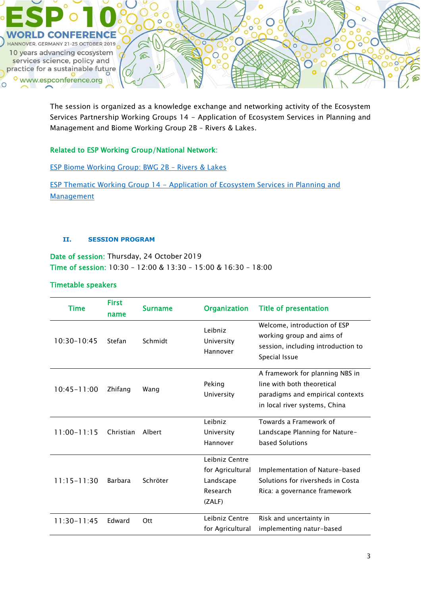

The session is organized as a knowledge exchange and networking activity of the Ecosystem Services Partnership Working Groups 14 - Application of Ecosystem Services in Planning and Management and Biome Working Group 2B – Rivers & Lakes.

## Related to ESP Working Group/National Network:

[ESP Biome Working Group: BWG 2B](https://www.es-partnership.org/community/workings-groups/biome-working-groups/bwg-2-freshwater-systems/2b-rivers-lakes/) – Rivers & Lakes

ESP Thematic Working Group 14 - Application of Ecosystem Services in Planning and **[Management](https://www.es-partnership.org/community/workings-groups/thematic-working-groups/twg-14-application-of-es-in-planning-management/)** 

#### **II. SESSION PROGRAM**

Date of session: Thursday, 24 October 2019 Time of session: 10:30 – 12:00 & 13:30 – 15:00 & 16:30 – 18:00

## Timetable speakers

| Time            | <b>First</b><br>name | <b>Surname</b> | <b>Organization</b>                                                   | <b>Title of presentation</b>                                                                                                       |
|-----------------|----------------------|----------------|-----------------------------------------------------------------------|------------------------------------------------------------------------------------------------------------------------------------|
| $10:30 - 10:45$ | Stefan               | Schmidt        | Leibniz<br>University<br>Hannover                                     | Welcome, introduction of ESP<br>working group and aims of<br>session, including introduction to<br>Special Issue                   |
| $10:45 - 11:00$ | Zhifang              | Wang           | Peking<br>University                                                  | A framework for planning NBS in<br>line with both theoretical<br>paradigms and empirical contexts<br>in local river systems, China |
| $11:00 - 11:15$ | Christian            | Albert         | Leibniz<br>University<br>Hannover                                     | Towards a Framework of<br>Landscape Planning for Nature-<br>based Solutions                                                        |
| $11:15 - 11:30$ | Barbara              | Schröter       | Leibniz Centre<br>for Agricultural<br>Landscape<br>Research<br>(ZALF) | Implementation of Nature-based<br>Solutions for riversheds in Costa<br>Rica: a governance framework                                |
| $11:30 - 11:45$ | <b>Fdward</b>        | Ott            | Leibniz Centre<br>for Agricultural                                    | Risk and uncertainty in<br>implementing natur-based                                                                                |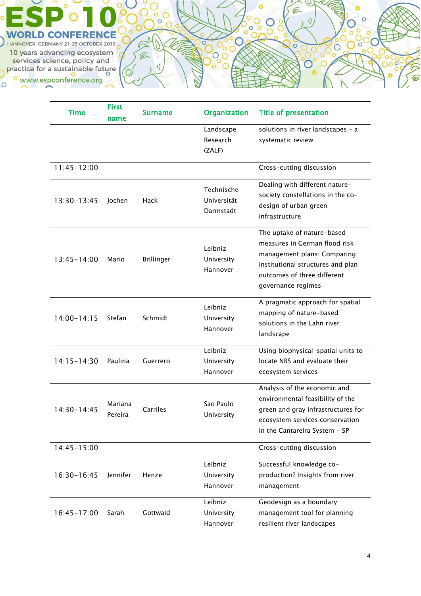

| <b>Time</b>     | <b>First</b><br>name | <b>Surname</b>    | <b>Organization</b>                    | <b>Title of presentation</b>                                                                                                                                                         |
|-----------------|----------------------|-------------------|----------------------------------------|--------------------------------------------------------------------------------------------------------------------------------------------------------------------------------------|
|                 |                      |                   | Landscape<br>Research<br>(ZALF)        | solutions in river landscapes - a<br>systematic review                                                                                                                               |
| $11:45 - 12:00$ |                      |                   |                                        | Cross-cutting discussion                                                                                                                                                             |
| 13:30-13:45     | Jochen               | Hack              | Technische<br>Universität<br>Darmstadt | Dealing with different nature-<br>society constellations in the co-<br>design of urban green<br>infrastructure                                                                       |
| $13:45 - 14:00$ | Mario                | <b>Brillinger</b> | Leibniz<br>University<br>Hannover      | The uptake of nature-based<br>measures in German flood risk<br>management plans: Comparing<br>institutional structures and plan<br>outcomes of three different<br>governance regimes |
| $14:00 - 14:15$ | Stefan               | Schmidt           | Leibniz<br>University<br>Hannover      | A pragmatic approach for spatial<br>mapping of nature-based<br>solutions in the Lahn river<br>landscape                                                                              |
| $14:15 - 14:30$ | Paulina              | Guerrero          | Leibniz<br>University<br>Hannover      | Using biophysical-spatial units to<br>locate NBS and evaluate their<br>ecosystem services                                                                                            |
| $14:30-14:45$   | Mariana<br>Pereira   | Carriles          | Sao Paulo<br>University                | Analysis of the economic and<br>environmental feasibility of the<br>green and gray infrastructures for<br>ecosystem services conservation<br>in the Cantareira System - SP           |
| $14:45 - 15:00$ |                      |                   |                                        | Cross-cutting discussion                                                                                                                                                             |
| 16:30-16:45     | Jennifer             | Henze             | Leibniz<br>University<br>Hannover      | Successful knowledge co-<br>production? Insights from river<br>management                                                                                                            |
| $16:45 - 17:00$ | Sarah                | Gottwald          | Leibniz<br>University<br>Hannover      | Geodesign as a boundary<br>management tool for planning<br>resilient river landscapes                                                                                                |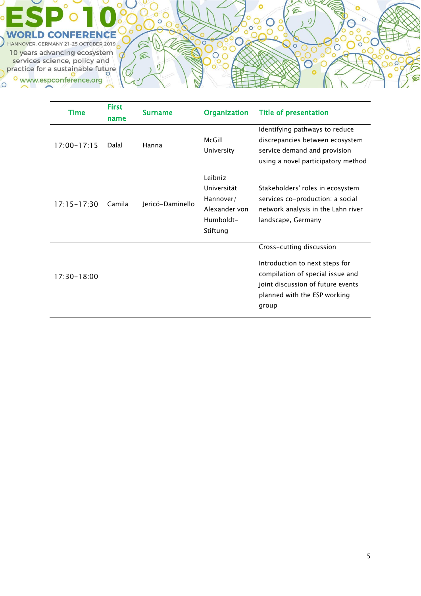

| Time            | First<br>name | <b>Surname</b>   | <b>Organization</b>                                                           | <b>Title of presentation</b>                                                                                                                                                 |
|-----------------|---------------|------------------|-------------------------------------------------------------------------------|------------------------------------------------------------------------------------------------------------------------------------------------------------------------------|
| $17:00 - 17:15$ | Dalal         | Hanna            | McGill<br>University                                                          | Identifying pathways to reduce<br>discrepancies between ecosystem<br>service demand and provision<br>using a novel participatory method                                      |
| $17:15 - 17:30$ | Camila        | Jericó-Daminello | Leibniz<br>Universität<br>Hannover/<br>Alexander von<br>Humboldt-<br>Stiftung | Stakeholders' roles in ecosystem<br>services co-production: a social<br>network analysis in the Lahn river<br>landscape, Germany                                             |
| $17:30 - 18:00$ |               |                  |                                                                               | Cross-cutting discussion<br>Introduction to next steps for<br>compilation of special issue and<br>joint discussion of future events<br>planned with the ESP working<br>group |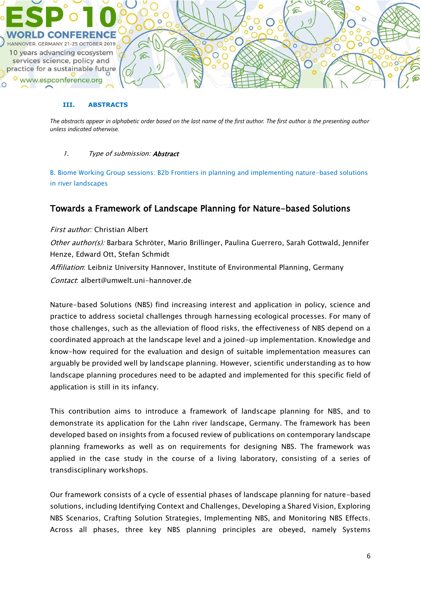

#### **III. ABSTRACTS**

*The abstracts appear in alphabetic order based on the last name of the first author. The first author is the presenting author unless indicated otherwise.*

### 1. Type of submission: **Abstract**

B. Biome Working Group sessions: B2b Frontiers in planning and implementing nature-based solutions in river landscapes

## Towards a Framework of Landscape Planning for Nature-based Solutions

First author: Christian Albert

Other author(s): Barbara Schröter, Mario Brillinger, Paulina Guerrero, Sarah Gottwald, Jennifer Henze, Edward Ott, Stefan Schmidt Affiliation: Leibniz University Hannover, Institute of Environmental Planning, Germany

Contact: albert@umwelt.uni-hannover.de

Nature-based Solutions (NBS) find increasing interest and application in policy, science and practice to address societal challenges through harnessing ecological processes. For many of those challenges, such as the alleviation of flood risks, the effectiveness of NBS depend on a coordinated approach at the landscape level and a joined-up implementation. Knowledge and know-how required for the evaluation and design of suitable implementation measures can arguably be provided well by landscape planning. However, scientific understanding as to how landscape planning procedures need to be adapted and implemented for this specific field of application is still in its infancy.

This contribution aims to introduce a framework of landscape planning for NBS, and to demonstrate its application for the Lahn river landscape, Germany. The framework has been developed based on insights from a focused review of publications on contemporary landscape planning frameworks as well as on requirements for designing NBS. The framework was applied in the case study in the course of a living laboratory, consisting of a series of transdisciplinary workshops.

Our framework consists of a cycle of essential phases of landscape planning for nature-based solutions, including Identifying Context and Challenges, Developing a Shared Vision, Exploring NBS Scenarios, Crafting Solution Strategies, Implementing NBS, and Monitoring NBS Effects. Across all phases, three key NBS planning principles are obeyed, namely Systems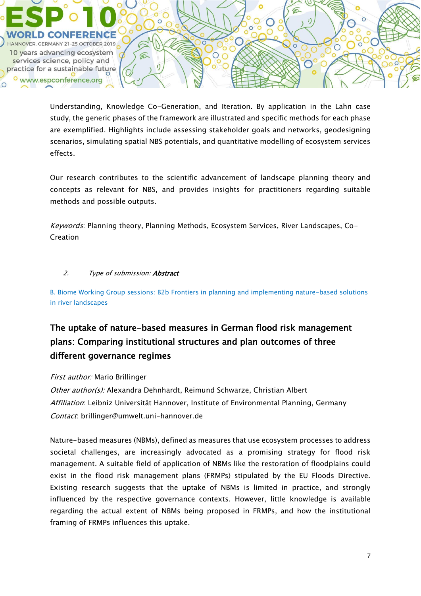

Understanding, Knowledge Co-Generation, and Iteration. By application in the Lahn case study, the generic phases of the framework are illustrated and specific methods for each phase are exemplified. Highlights include assessing stakeholder goals and networks, geodesigning scenarios, simulating spatial NBS potentials, and quantitative modelling of ecosystem services effects.

Our research contributes to the scientific advancement of landscape planning theory and concepts as relevant for NBS, and provides insights for practitioners regarding suitable methods and possible outputs.

Keywords: Planning theory, Planning Methods, Ecosystem Services, River Landscapes, Co-Creation

## 2. Type of submission: **Abstract**

B. Biome Working Group sessions: B2b Frontiers in planning and implementing nature-based solutions in river landscapes

# The uptake of nature-based measures in German flood risk management plans: Comparing institutional structures and plan outcomes of three different governance regimes

## First author: Mario Brillinger

Other author(s): Alexandra Dehnhardt, Reimund Schwarze, Christian Albert Affiliation: Leibniz Universität Hannover, Institute of Environmental Planning, Germany Contact: brillinger@umwelt.uni-hannover.de

Nature-based measures (NBMs), defined as measures that use ecosystem processes to address societal challenges, are increasingly advocated as a promising strategy for flood risk management. A suitable field of application of NBMs like the restoration of floodplains could exist in the flood risk management plans (FRMPs) stipulated by the EU Floods Directive. Existing research suggests that the uptake of NBMs is limited in practice, and strongly influenced by the respective governance contexts. However, little knowledge is available regarding the actual extent of NBMs being proposed in FRMPs, and how the institutional framing of FRMPs influences this uptake.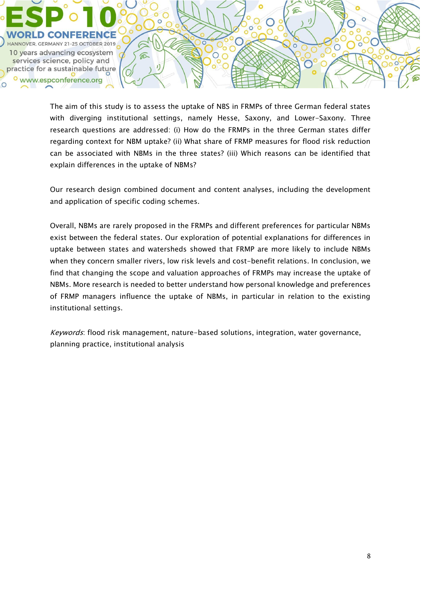

The aim of this study is to assess the uptake of NBS in FRMPs of three German federal states with diverging institutional settings, namely Hesse, Saxony, and Lower-Saxony. Three research questions are addressed: (i) How do the FRMPs in the three German states differ regarding context for NBM uptake? (ii) What share of FRMP measures for flood risk reduction can be associated with NBMs in the three states? (iii) Which reasons can be identified that explain differences in the uptake of NBMs?

Our research design combined document and content analyses, including the development and application of specific coding schemes.

Overall, NBMs are rarely proposed in the FRMPs and different preferences for particular NBMs exist between the federal states. Our exploration of potential explanations for differences in uptake between states and watersheds showed that FRMP are more likely to include NBMs when they concern smaller rivers, low risk levels and cost-benefit relations. In conclusion, we find that changing the scope and valuation approaches of FRMPs may increase the uptake of NBMs. More research is needed to better understand how personal knowledge and preferences of FRMP managers influence the uptake of NBMs, in particular in relation to the existing institutional settings.

Keywords: flood risk management, nature-based solutions, integration, water governance, planning practice, institutional analysis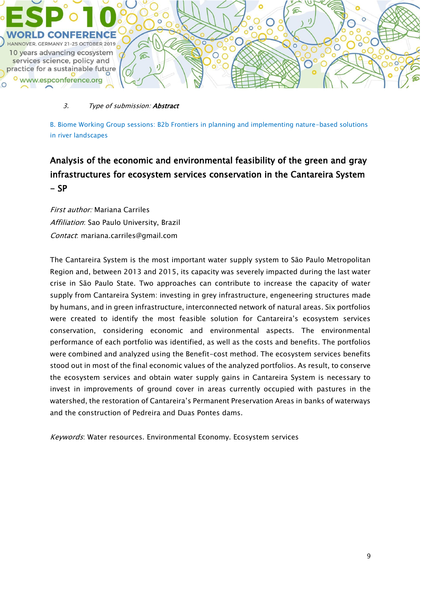

### 3. Type of submission: **Abstract**

B. Biome Working Group sessions: B2b Frontiers in planning and implementing nature-based solutions in river landscapes

# Analysis of the economic and environmental feasibility of the green and gray infrastructures for ecosystem services conservation in the Cantareira System  $- SP$

First author: Mariana Carriles Affiliation: Sao Paulo University, Brazil Contact: mariana.carriles@gmail.com

The Cantareira System is the most important water supply system to São Paulo Metropolitan Region and, between 2013 and 2015, its capacity was severely impacted during the last water crise in São Paulo State. Two approaches can contribute to increase the capacity of water supply from Cantareira System: investing in grey infrastructure, engeneering structures made by humans, and in green infrastructure, interconnected network of natural areas. Six portfolios were created to identify the most feasible solution for Cantareira's ecosystem services conservation, considering economic and environmental aspects. The environmental performance of each portfolio was identified, as well as the costs and benefits. The portfolios were combined and analyzed using the Benefit-cost method. The ecosystem services benefits stood out in most of the final economic values of the analyzed portfolios. As result, to conserve the ecosystem services and obtain water supply gains in Cantareira System is necessary to invest in improvements of ground cover in areas currently occupied with pastures in the watershed, the restoration of Cantareira's Permanent Preservation Areas in banks of waterways and the construction of Pedreira and Duas Pontes dams.

Keywords: Water resources. Environmental Economy. Ecosystem services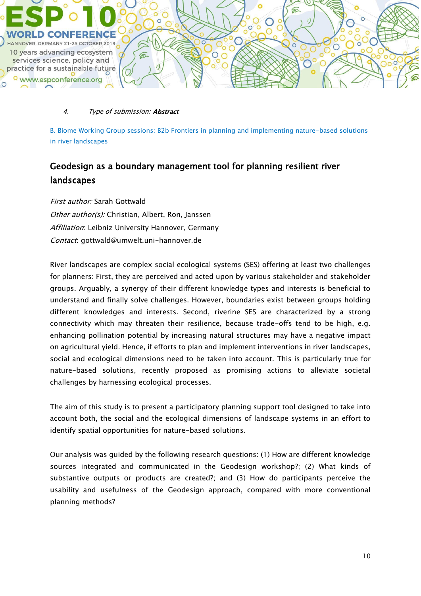

### 4. Type of submission: **Abstract**

B. Biome Working Group sessions: B2b Frontiers in planning and implementing nature-based solutions in river landscapes

## Geodesign as a boundary management tool for planning resilient river landscapes

First author: Sarah Gottwald Other author(s): Christian, Albert, Ron, Janssen Affiliation: Leibniz University Hannover, Germany Contact: gottwald@umwelt.uni-hannover.de

River landscapes are complex social ecological systems (SES) offering at least two challenges for planners: First, they are perceived and acted upon by various stakeholder and stakeholder groups. Arguably, a synergy of their different knowledge types and interests is beneficial to understand and finally solve challenges. However, boundaries exist between groups holding different knowledges and interests. Second, riverine SES are characterized by a strong connectivity which may threaten their resilience, because trade-offs tend to be high, e.g. enhancing pollination potential by increasing natural structures may have a negative impact on agricultural yield. Hence, if efforts to plan and implement interventions in river landscapes, social and ecological dimensions need to be taken into account. This is particularly true for nature-based solutions, recently proposed as promising actions to alleviate societal challenges by harnessing ecological processes.

The aim of this study is to present a participatory planning support tool designed to take into account both, the social and the ecological dimensions of landscape systems in an effort to identify spatial opportunities for nature-based solutions.

Our analysis was guided by the following research questions: (1) How are different knowledge sources integrated and communicated in the Geodesign workshop?; (2) What kinds of substantive outputs or products are created?; and (3) How do participants perceive the usability and usefulness of the Geodesign approach, compared with more conventional planning methods?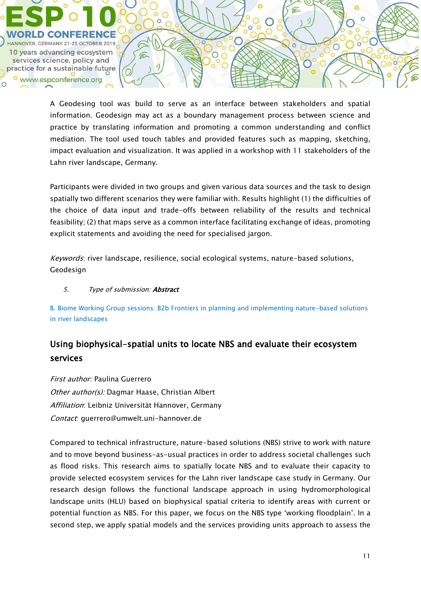

A Geodesing tool was build to serve as an interface between stakeholders and spatial information. Geodesign may act as a boundary management process between science and practice by translating information and promoting a common understanding and conflict mediation. The tool used touch tables and provided features such as mapping, sketching, impact evaluation and visualization. It was applied in a workshop with 11 stakeholders of the Lahn river landscape, Germany.

 $\subset$ 

 $\bigcirc$ 

Participants were divided in two groups and given various data sources and the task to design spatially two different scenarios they were familiar with. Results highlight (1) the difficulties of the choice of data input and trade-offs between reliability of the results and technical feasibility; (2) that maps serve as a common interface facilitating exchange of ideas, promoting explicit statements and avoiding the need for specialised jargon.

Keywords: river landscape, resilience, social ecological systems, nature-based solutions, Geodesign

## 5. Type of submission: **Abstract**

B. Biome Working Group sessions: B2b Frontiers in planning and implementing nature-based solutions in river landscapes

## Using biophysical-spatial units to locate NBS and evaluate their ecosystem services

First author: Paulina Guerrero Other author(s): Dagmar Haase, Christian Albert Affiliation: Leibniz Universität Hannover, Germany Contact: guerrero@umwelt.uni-hannover.de

Compared to technical infrastructure, nature-based solutions (NBS) strive to work with nature and to move beyond business-as-usual practices in order to address societal challenges such as flood risks. This research aims to spatially locate NBS and to evaluate their capacity to provide selected ecosystem services for the Lahn river landscape case study in Germany. Our research design follows the functional landscape approach in using hydromorphological landscape units (HLU) based on biophysical spatial criteria to identify areas with current or potential function as NBS. For this paper, we focus on the NBS type 'working floodplain'. In a second step, we apply spatial models and the services providing units approach to assess the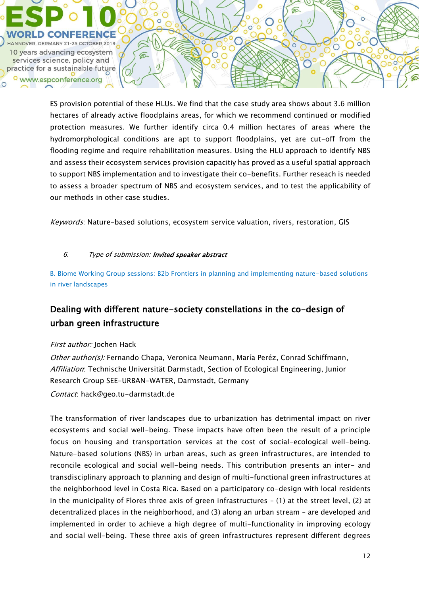

ES provision potential of these HLUs. We find that the case study area shows about 3.6 million hectares of already active floodplains areas, for which we recommend continued or modified protection measures. We further identify circa 0.4 million hectares of areas where the hydromorphological conditions are apt to support floodplains, yet are cut-off from the flooding regime and require rehabilitation measures. Using the HLU approach to identify NBS and assess their ecosystem services provision capacitiy has proved as a useful spatial approach to support NBS implementation and to investigate their co-benefits. Further reseach is needed to assess a broader spectrum of NBS and ecosystem services, and to test the applicability of our methods in other case studies.

Keywords: Nature-based solutions, ecosystem service valuation, rivers, restoration, GIS

## 6. Type of submission: Invited speaker abstract

B. Biome Working Group sessions: B2b Frontiers in planning and implementing nature-based solutions in river landscapes

## Dealing with different nature-society constellations in the co-design of urban green infrastructure

## First author: Jochen Hack

Other author(s): Fernando Chapa, Veronica Neumann, María Peréz, Conrad Schiffmann, Affiliation: Technische Universität Darmstadt, Section of Ecological Engineering, Junior Research Group SEE-URBAN-WATER, Darmstadt, Germany Contact: hack@geo.tu-darmstadt.de

The transformation of river landscapes due to urbanization has detrimental impact on river ecosystems and social well-being. These impacts have often been the result of a principle focus on housing and transportation services at the cost of social-ecological well-being. Nature-based solutions (NBS) in urban areas, such as green infrastructures, are intended to reconcile ecological and social well-being needs. This contribution presents an inter- and transdisciplinary approach to planning and design of multi-functional green infrastructures at the neighborhood level in Costa Rica. Based on a participatory co-design with local residents in the municipality of Flores three axis of green infrastructures – (1) at the street level, (2) at decentralized places in the neighborhood, and (3) along an urban stream – are developed and implemented in order to achieve a high degree of multi-functionality in improving ecology and social well-being. These three axis of green infrastructures represent different degrees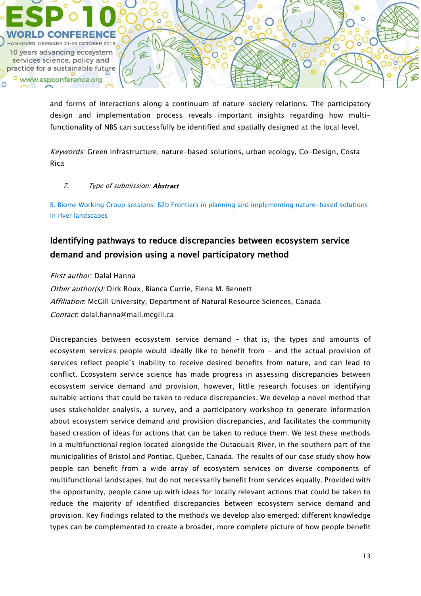

and forms of interactions along a continuum of nature-society relations. The participatory design and implementation process reveals important insights regarding how multifunctionality of NBS can successfully be identified and spatially designed at the local level.

Keywords: Green infrastructure, nature-based solutions, urban ecology, Co-Design, Costa Rica

### 7. Type of submission: **Abstract**

B. Biome Working Group sessions: B2b Frontiers in planning and implementing nature-based solutions in river landscapes

## Identifying pathways to reduce discrepancies between ecosystem service demand and provision using a novel participatory method

### First author: Dalal Hanna

Other author(s): Dirk Roux, Bianca Currie, Elena M. Bennett Affiliation: McGill University, Department of Natural Resource Sciences, Canada Contact: dalal.hanna@mail.mcgill.ca

Discrepancies between ecosystem service demand – that is, the types and amounts of ecosystem services people would ideally like to benefit from – and the actual provision of services reflect people's inability to receive desired benefits from nature, and can lead to conflict. Ecosystem service science has made progress in assessing discrepancies between ecosystem service demand and provision, however, little research focuses on identifying suitable actions that could be taken to reduce discrepancies. We develop a novel method that uses stakeholder analysis, a survey, and a participatory workshop to generate information about ecosystem service demand and provision discrepancies, and facilitates the community based creation of ideas for actions that can be taken to reduce them. We test these methods in a multifunctional region located alongside the Outaouais River, in the southern part of the municipalities of Bristol and Pontiac, Quebec, Canada. The results of our case study show how people can benefit from a wide array of ecosystem services on diverse components of multifunctional landscapes, but do not necessarily benefit from services equally. Provided with the opportunity, people came up with ideas for locally relevant actions that could be taken to reduce the majority of identified discrepancies between ecosystem service demand and provision. Key findings related to the methods we develop also emerged: different knowledge types can be complemented to create a broader, more complete picture of how people benefit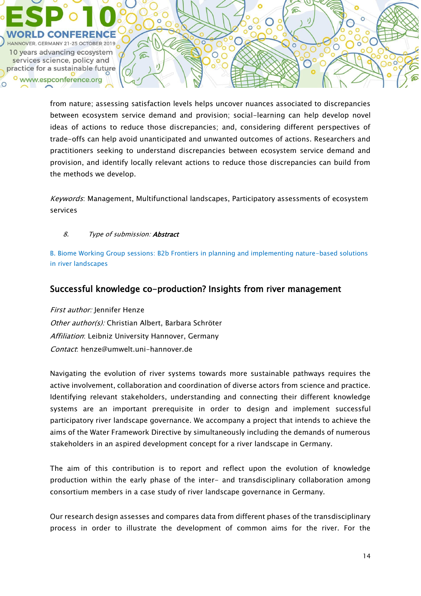

from nature; assessing satisfaction levels helps uncover nuances associated to discrepancies between ecosystem service demand and provision; social-learning can help develop novel ideas of actions to reduce those discrepancies; and, considering different perspectives of trade-offs can help avoid unanticipated and unwanted outcomes of actions. Researchers and practitioners seeking to understand discrepancies between ecosystem service demand and provision, and identify locally relevant actions to reduce those discrepancies can build from the methods we develop.

€

 $\bigcirc$ 

Keywords: Management, Multifunctional landscapes, Participatory assessments of ecosystem services

### 8. Type of submission: **Abstract**

B. Biome Working Group sessions: B2b Frontiers in planning and implementing nature-based solutions in river landscapes

## Successful knowledge co-production? Insights from river management

First author: Jennifer Henze Other author(s): Christian Albert, Barbara Schröter Affiliation: Leibniz University Hannover, Germany Contact: henze@umwelt.uni-hannover.de

Navigating the evolution of river systems towards more sustainable pathways requires the active involvement, collaboration and coordination of diverse actors from science and practice. Identifying relevant stakeholders, understanding and connecting their different knowledge systems are an important prerequisite in order to design and implement successful participatory river landscape governance. We accompany a project that intends to achieve the aims of the Water Framework Directive by simultaneously including the demands of numerous stakeholders in an aspired development concept for a river landscape in Germany.

The aim of this contribution is to report and reflect upon the evolution of knowledge production within the early phase of the inter- and transdisciplinary collaboration among consortium members in a case study of river landscape governance in Germany.

Our research design assesses and compares data from different phases of the transdisciplinary process in order to illustrate the development of common aims for the river. For the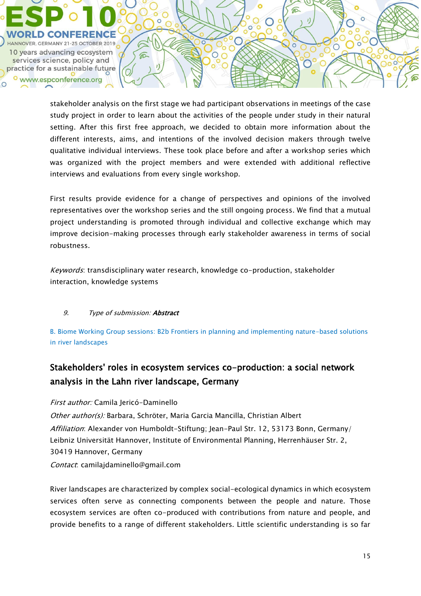

stakeholder analysis on the first stage we had participant observations in meetings of the case study project in order to learn about the activities of the people under study in their natural setting. After this first free approach, we decided to obtain more information about the different interests, aims, and intentions of the involved decision makers through twelve qualitative individual interviews. These took place before and after a workshop series which was organized with the project members and were extended with additional reflective interviews and evaluations from every single workshop.

First results provide evidence for a change of perspectives and opinions of the involved representatives over the workshop series and the still ongoing process. We find that a mutual project understanding is promoted through individual and collective exchange which may improve decision-making processes through early stakeholder awareness in terms of social robustness.

Keywords: transdisciplinary water research, knowledge co-production, stakeholder interaction, knowledge systems

## 9. Type of submission: **Abstract**

B. Biome Working Group sessions: B2b Frontiers in planning and implementing nature-based solutions in river landscapes

## Stakeholders' roles in ecosystem services co-production: a social network analysis in the Lahn river landscape, Germany

First author: Camila Jericó-Daminello Other author(s): Barbara, Schröter, Maria Garcia Mancilla, Christian Albert Affiliation: Alexander von Humboldt-Stiftung; Jean-Paul Str. 12, 53173 Bonn, Germany/ Leibniz Universität Hannover, Institute of Environmental Planning, Herrenhäuser Str. 2, 30419 Hannover, Germany Contact: camilajdaminello@gmail.com

River landscapes are characterized by complex social-ecological dynamics in which ecosystem services often serve as connecting components between the people and nature. Those ecosystem services are often co-produced with contributions from nature and people, and provide benefits to a range of different stakeholders. Little scientific understanding is so far

 $\bigcirc$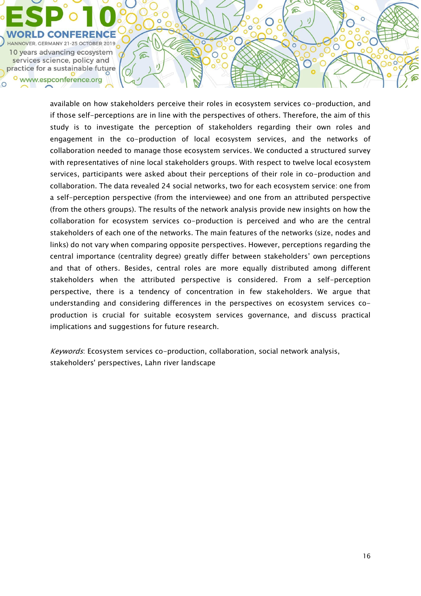

available on how stakeholders perceive their roles in ecosystem services co-production, and if those self-perceptions are in line with the perspectives of others. Therefore, the aim of this study is to investigate the perception of stakeholders regarding their own roles and engagement in the co-production of local ecosystem services, and the networks of collaboration needed to manage those ecosystem services. We conducted a structured survey with representatives of nine local stakeholders groups. With respect to twelve local ecosystem services, participants were asked about their perceptions of their role in co-production and collaboration. The data revealed 24 social networks, two for each ecosystem service: one from a self-perception perspective (from the interviewee) and one from an attributed perspective (from the others groups). The results of the network analysis provide new insights on how the collaboration for ecosystem services co-production is perceived and who are the central stakeholders of each one of the networks. The main features of the networks (size, nodes and links) do not vary when comparing opposite perspectives. However, perceptions regarding the central importance (centrality degree) greatly differ between stakeholders' own perceptions and that of others. Besides, central roles are more equally distributed among different stakeholders when the attributed perspective is considered. From a self-perception perspective, there is a tendency of concentration in few stakeholders. We argue that understanding and considering differences in the perspectives on ecosystem services coproduction is crucial for suitable ecosystem services governance, and discuss practical implications and suggestions for future research.

 $\mathbb C$ 

 $\circ$ 

 $\circ$  $\, \mathcal{C} \,$ 

 $\mathbf{J}$ 

 $\widehat{\mathbb{C}}$ 

⋒

 $\mathbf{I}$ 

 $\overline{\circ}$ 

 $\circ$ 

Keywords: Ecosystem services co-production, collaboration, social network analysis, stakeholders' perspectives, Lahn river landscape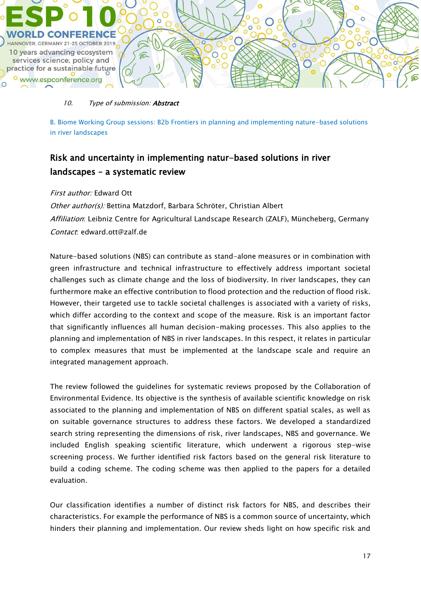

### 10. Type of submission: **Abstract**

B. Biome Working Group sessions: B2b Frontiers in planning and implementing nature-based solutions in river landscapes

## Risk and uncertainty in implementing natur-based solutions in river landscapes – a systematic review

### First author: Edward Ott

Other author(s): Bettina Matzdorf, Barbara Schröter, Christian Albert Affiliation: Leibniz Centre for Agricultural Landscape Research (ZALF), Müncheberg, Germany Contact: edward.ott@zalf.de

Nature-based solutions (NBS) can contribute as stand-alone measures or in combination with green infrastructure and technical infrastructure to effectively address important societal challenges such as climate change and the loss of biodiversity. In river landscapes, they can furthermore make an effective contribution to flood protection and the reduction of flood risk. However, their targeted use to tackle societal challenges is associated with a variety of risks, which differ according to the context and scope of the measure. Risk is an important factor that significantly influences all human decision-making processes. This also applies to the planning and implementation of NBS in river landscapes. In this respect, it relates in particular to complex measures that must be implemented at the landscape scale and require an integrated management approach.

The review followed the guidelines for systematic reviews proposed by the Collaboration of Environmental Evidence. Its objective is the synthesis of available scientific knowledge on risk associated to the planning and implementation of NBS on different spatial scales, as well as on suitable governance structures to address these factors. We developed a standardized search string representing the dimensions of risk, river landscapes, NBS and governance. We included English speaking scientific literature, which underwent a rigorous step-wise screening process. We further identified risk factors based on the general risk literature to build a coding scheme. The coding scheme was then applied to the papers for a detailed evaluation.

Our classification identifies a number of distinct risk factors for NBS, and describes their characteristics. For example the performance of NBS is a common source of uncertainty, which hinders their planning and implementation. Our review sheds light on how specific risk and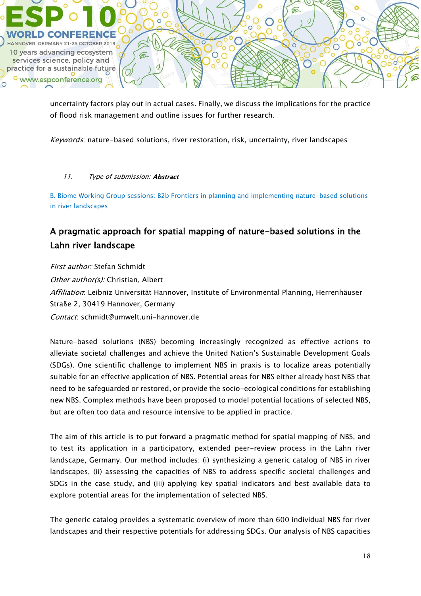

uncertainty factors play out in actual cases. Finally, we discuss the implications for the practice of flood risk management and outline issues for further research.

Keywords: nature-based solutions, river restoration, risk, uncertainty, river landscapes

## 11. Type of submission: Abstract

B. Biome Working Group sessions: B2b Frontiers in planning and implementing nature-based solutions in river landscapes

# A pragmatic approach for spatial mapping of nature-based solutions in the Lahn river landscape

First author: Stefan Schmidt Other author(s): Christian, Albert Affiliation: Leibniz Universität Hannover, Institute of Environmental Planning, Herrenhäuser Straße 2, 30419 Hannover, Germany Contact: schmidt@umwelt.uni-hannover.de

Nature-based solutions (NBS) becoming increasingly recognized as effective actions to alleviate societal challenges and achieve the United Nation's Sustainable Development Goals (SDGs). One scientific challenge to implement NBS in praxis is to localize areas potentially suitable for an effective application of NBS. Potential areas for NBS either already host NBS that need to be safeguarded or restored, or provide the socio-ecological conditions for establishing new NBS. Complex methods have been proposed to model potential locations of selected NBS, but are often too data and resource intensive to be applied in practice.

The aim of this article is to put forward a pragmatic method for spatial mapping of NBS, and to test its application in a participatory, extended peer-review process in the Lahn river landscape, Germany. Our method includes: (i) synthesizing a generic catalog of NBS in river landscapes, (ii) assessing the capacities of NBS to address specific societal challenges and SDGs in the case study, and (iii) applying key spatial indicators and best available data to explore potential areas for the implementation of selected NBS.

The generic catalog provides a systematic overview of more than 600 individual NBS for river landscapes and their respective potentials for addressing SDGs. Our analysis of NBS capacities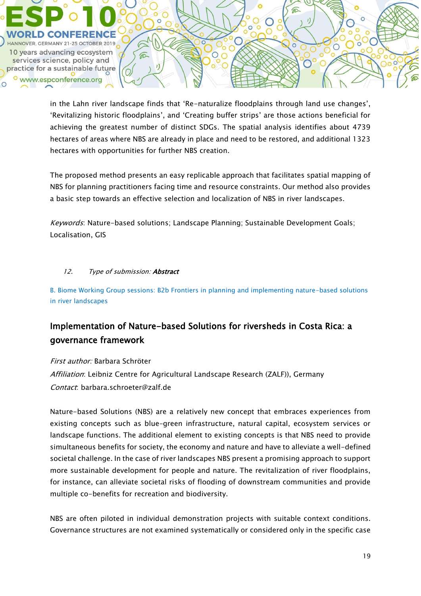

in the Lahn river landscape finds that 'Re-naturalize floodplains through land use changes', 'Revitalizing historic floodplains', and 'Creating buffer strips' are those actions beneficial for achieving the greatest number of distinct SDGs. The spatial analysis identifies about 4739 hectares of areas where NBS are already in place and need to be restored, and additional 1323 hectares with opportunities for further NBS creation.

The proposed method presents an easy replicable approach that facilitates spatial mapping of NBS for planning practitioners facing time and resource constraints. Our method also provides a basic step towards an effective selection and localization of NBS in river landscapes.

Keywords: Nature-based solutions; Landscape Planning; Sustainable Development Goals; Localisation, GIS

## 12. Type of submission: **Abstract**

B. Biome Working Group sessions: B2b Frontiers in planning and implementing nature-based solutions in river landscapes

## Implementation of Nature-based Solutions for riversheds in Costa Rica: a governance framework

First author: Barbara Schröter Affiliation: Leibniz Centre for Agricultural Landscape Research (ZALF)), Germany Contact: barbara.schroeter@zalf.de

Nature-based Solutions (NBS) are a relatively new concept that embraces experiences from existing concepts such as blue–green infrastructure, natural capital, ecosystem services or landscape functions. The additional element to existing concepts is that NBS need to provide simultaneous benefits for society, the economy and nature and have to alleviate a well-defined societal challenge. In the case of river landscapes NBS present a promising approach to support more sustainable development for people and nature. The revitalization of river floodplains, for instance, can alleviate societal risks of flooding of downstream communities and provide multiple co-benefits for recreation and biodiversity.

NBS are often piloted in individual demonstration projects with suitable context conditions. Governance structures are not examined systematically or considered only in the specific case

 $\bigcap$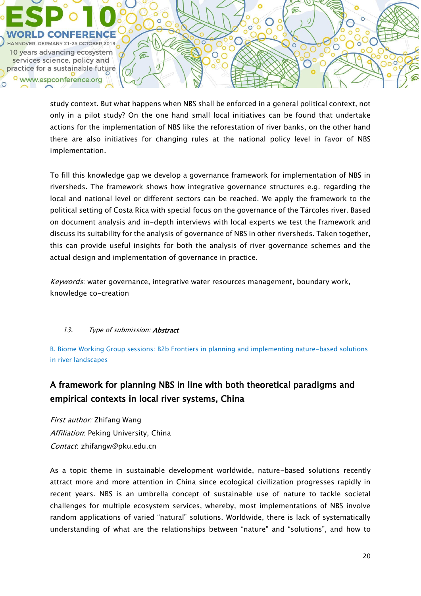

study context. But what happens when NBS shall be enforced in a general political context, not only in a pilot study? On the one hand small local initiatives can be found that undertake actions for the implementation of NBS like the reforestation of river banks, on the other hand there are also initiatives for changing rules at the national policy level in favor of NBS implementation.

€

 $\bigcirc$ 

To fill this knowledge gap we develop a governance framework for implementation of NBS in riversheds. The framework shows how integrative governance structures e.g. regarding the local and national level or different sectors can be reached. We apply the framework to the political setting of Costa Rica with special focus on the governance of the Tárcoles river. Based on document analysis and in-depth interviews with local experts we test the framework and discuss its suitability for the analysis of governance of NBS in other riversheds. Taken together, this can provide useful insights for both the analysis of river governance schemes and the actual design and implementation of governance in practice.

Keywords: water governance, integrative water resources management, boundary work, knowledge co-creation

## 13. Type of submission: **Abstract**

B. Biome Working Group sessions: B2b Frontiers in planning and implementing nature-based solutions in river landscapes

## A framework for planning NBS in line with both theoretical paradigms and empirical contexts in local river systems, China

First author: Zhifang Wang Affiliation: Peking University, China Contact: zhifangw@pku.edu.cn

As a topic theme in sustainable development worldwide, nature-based solutions recently attract more and more attention in China since ecological civilization progresses rapidly in recent years. NBS is an umbrella concept of sustainable use of nature to tackle societal challenges for multiple ecosystem services, whereby, most implementations of NBS involve random applications of varied "natural" solutions. Worldwide, there is lack of systematically understanding of what are the relationships between "nature" and "solutions", and how to